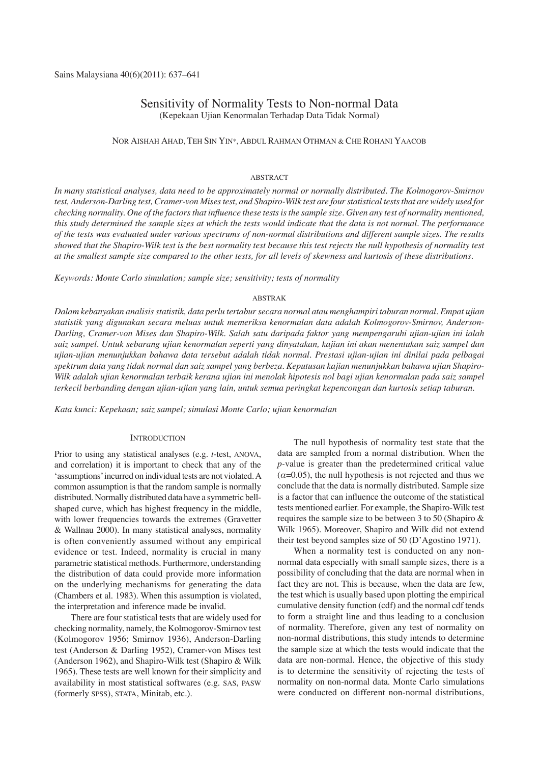# Sensitivity of Normality Tests to Non-normal Data (Kepekaan Ujian Kenormalan Terhadap Data Tidak Normal)

### NOR AISHAH AHAD, TEH SIN YIN\*, ABDUL RAHMAN OTHMAN & CHE ROHANI YAACOB

### ABSTRACT

*In many statistical analyses, data need to be approximately normal or normally distributed. The Kolmogorov-Smirnov test, Anderson-Darling test, Cramer-von Mises test, and Shapiro-Wilk test are four statistical tests that are widely used for checking normality. One of the factors that influence these tests is the sample size. Given any test of normality mentioned, this study determined the sample sizes at which the tests would indicate that the data is not normal. The performance of the tests was evaluated under various spectrums of non-normal distributions and different sample sizes. The results showed that the Shapiro-Wilk test is the best normality test because this test rejects the null hypothesis of normality test at the smallest sample size compared to the other tests, for all levels of skewness and kurtosis of these distributions.* 

*Keywords: Monte Carlo simulation; sample size; sensitivity; tests of normality*

#### ABSTRAK

*Dalam kebanyakan analisis statistik, data perlu tertabur secara normal atau menghampiri taburan normal. Empat ujian statistik yang digunakan secara meluas untuk memeriksa kenormalan data adalah Kolmogorov-Smirnov, Anderson-Darling, Cramer-von Mises dan Shapiro-Wilk. Salah satu daripada faktor yang mempengaruhi ujian-ujian ini ialah saiz sampel. Untuk sebarang ujian kenormalan seperti yang dinyatakan, kajian ini akan menentukan saiz sampel dan ujian-ujian menunjukkan bahawa data tersebut adalah tidak normal. Prestasi ujian-ujian ini dinilai pada pelbagai spektrum data yang tidak normal dan saiz sampel yang berbeza. Keputusan kajian menunjukkan bahawa ujian Shapiro-Wilk adalah ujian kenormalan terbaik kerana ujian ini menolak hipotesis nol bagi ujian kenormalan pada saiz sampel terkecil berbanding dengan ujian-ujian yang lain, untuk semua peringkat kepencongan dan kurtosis setiap taburan.*

*Kata kunci: Kepekaan; saiz sampel; simulasi Monte Carlo; ujian kenormalan*

### **INTRODUCTION**

Prior to using any statistical analyses (e.g. *t*-test, ANOVA, and correlation) it is important to check that any of the 'assumptions' incurred on individual tests are not violated. A common assumption is that the random sample is normally distributed. Normally distributed data have a symmetric bellshaped curve, which has highest frequency in the middle, with lower frequencies towards the extremes (Gravetter & Wallnau 2000). In many statistical analyses, normality is often conveniently assumed without any empirical evidence or test. Indeed, normality is crucial in many parametric statistical methods. Furthermore, understanding the distribution of data could provide more information on the underlying mechanisms for generating the data (Chambers et al. 1983). When this assumption is violated, the interpretation and inference made be invalid.

There are four statistical tests that are widely used for checking normality, namely, the Kolmogorov-Smirnov test (Kolmogorov 1956; Smirnov 1936), Anderson-Darling test (Anderson & Darling 1952), Cramer-von Mises test (Anderson 1962), and Shapiro-Wilk test (Shapiro & Wilk 1965). These tests are well known for their simplicity and availability in most statistical softwares (e.g. SAS, PASW (formerly SPSS), STATA, Minitab, etc.).

The null hypothesis of normality test state that the data are sampled from a normal distribution. When the *p-*value is greater than the predetermined critical value  $(\alpha=0.05)$ , the null hypothesis is not rejected and thus we conclude that the data is normally distributed. Sample size is a factor that can influence the outcome of the statistical tests mentioned earlier. For example, the Shapiro-Wilk test requires the sample size to be between 3 to 50 (Shapiro & Wilk 1965). Moreover, Shapiro and Wilk did not extend their test beyond samples size of 50 (D'Agostino 1971).

When a normality test is conducted on any nonnormal data especially with small sample sizes, there is a possibility of concluding that the data are normal when in fact they are not. This is because, when the data are few, the test which is usually based upon plotting the empirical cumulative density function (cdf) and the normal cdf tends to form a straight line and thus leading to a conclusion of normality. Therefore, given any test of normality on non-normal distributions, this study intends to determine the sample size at which the tests would indicate that the data are non-normal. Hence, the objective of this study is to determine the sensitivity of rejecting the tests of normality on non-normal data. Monte Carlo simulations were conducted on different non-normal distributions,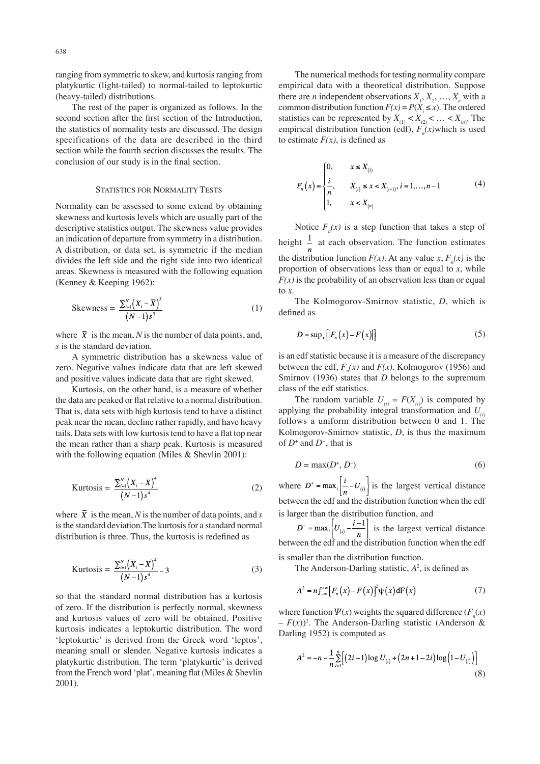ranging from symmetric to skew, and kurtosis ranging from platykurtic (light-tailed) to normal-tailed to leptokurtic (heavy-tailed) distributions.

The rest of the paper is organized as follows. In the second section after the first section of the Introduction, the statistics of normality tests are discussed. The design specifications of the data are described in the third section while the fourth section discusses the results. The conclusion of our study is in the final section.

#### STATISTICS FOR NORMALITY TESTS

Normality can be assessed to some extend by obtaining skewness and kurtosis levels which are usually part of the descriptive statistics output. The skewness value provides an indication of departure from symmetry in a distribution. A distribution, or data set, is symmetric if the median divides the left side and the right side into two identical areas. Skewness is measured with the following equation (Kenney & Keeping 1962):

Skewness = 
$$
\frac{\sum_{i=1}^{N} (X_i - \bar{X})^3}{(N-1)s^3}
$$
 (1)

where  $\bar{X}$  is the mean, *N* is the number of data points, and, *s* is the standard deviation.

A symmetric distribution has a skewness value of zero. Negative values indicate data that are left skewed and positive values indicate data that are right skewed.

Kurtosis, on the other hand, is a measure of whether the data are peaked or flat relative to a normal distribution. That is, data sets with high kurtosis tend to have a distinct peak near the mean, decline rather rapidly, and have heavy tails. Data sets with low kurtosis tend to have a flat top near the mean rather than a sharp peak. Kurtosis is measured with the following equation (Miles & Shevlin 2001):

Kurtosis = 
$$
\frac{\sum_{i=1}^{N} (X_i - \bar{X})^4}{(N-1)s^4}
$$
 (2)

where  $\overline{X}$  is the mean, *N* is the number of data points, and *s* is the standard deviation.The kurtosis for a standard normal distribution is three. Thus, the kurtosis is redefined as

Kurtosis = 
$$
\frac{\sum_{i=1}^{N} (X_i - \bar{X})^4}{(N-1)s^4} - 3
$$
 (3)

so that the standard normal distribution has a kurtosis of zero. If the distribution is perfectly normal, skewness and kurtosis values of zero will be obtained. Positive kurtosis indicates a leptokurtic distribution. The word 'leptokurtic' is derived from the Greek word 'leptos', meaning small or slender. Negative kurtosis indicates a platykurtic distribution. The term 'platykurtic' is derived from the French word 'plat', meaning flat (Miles & Shevlin 2001).

The numerical methods for testing normality compare empirical data with a theoretical distribution. Suppose there are *n* independent observations  $X_1, X_2, ..., X_n$  with a common distribution function  $F(x) = P(X_i \le x)$ . The ordered statistics can be represented by  $X_{(1)} < X_{(2)} < \dots < X_{(n)}$ . The empirical distribution function (edf),  $F_n(x)$ which is used to estimate  $F(x)$ , is defined as

$$
F_n(x) = \begin{cases} 0, & x \le X_{(1)} \\ \frac{i}{n}, & X_{(i)} \le x < X_{(i+1)}, \, i = 1, \dots, n-1 \\ 1, & x < X_{(n)} \end{cases} \tag{4}
$$

Notice  $F_n(x)$  is a step function that takes a step of height  $\frac{1}{n}$  at each observation. The function estimates the distribution function  $F(x)$ . At any value *x*,  $F_n(x)$  is the proportion of observations less than or equal to *x*, while  $F(x)$  is the probability of an observation less than or equal to *x*.

The Kolmogorov-Smirnov statistic, *D*, which is defined as

$$
D = \sup_x \left[ \left| F_n(x) - F(x) \right| \right] \tag{5}
$$

is an edf statistic because it is a measure of the discrepancy between the edf,  $F_n(x)$  and  $F(x)$ . Kolmogorov (1956) and Smirnov (1936) states that *D* belongs to the supremum class of the edf statistics.

The random variable  $U_{(i)} = F(X_{(i)})$  is computed by applying the probability integral transformation and *U(i)*  follows a uniform distribution between 0 and 1. The Kolmogorov-Smirnov statistic, *D*, is thus the maximum of *D*<sup>+</sup> and *D<sup>−</sup>*, that is

$$
D = \max(D^+, D^-) \tag{6}
$$

where  $D^* = \max_i \left| \frac{i}{n} - U_{(i)} \right|$  is the largest vertical distance between the edf and the distribution function when the edf is larger than the distribution function, and

is the largest vertical distance between the edf and the distribution function when the edf is smaller than the distribution function.

The Anderson-Darling statistic,  $A^2$ , is defined as

$$
A^{2} = n \int_{-\infty}^{+\infty} \left[ F_{n}(x) - F(x) \right]^{2} \psi(x) dF(x)
$$
 (7)

where function  $\Psi(x)$  weights the squared difference  $(F_n(x))$  $-F(x)$ <sup>2</sup>. The Anderson-Darling statistic (Anderson & Darling 1952) is computed as

$$
A^{2} = -n - \frac{1}{n} \sum_{i=1}^{n} \left[ \left( 2i - 1 \right) \log U_{(i)} + \left( 2n + 1 - 2i \right) \log \left( 1 - U_{(i)} \right) \right]
$$
\n(8)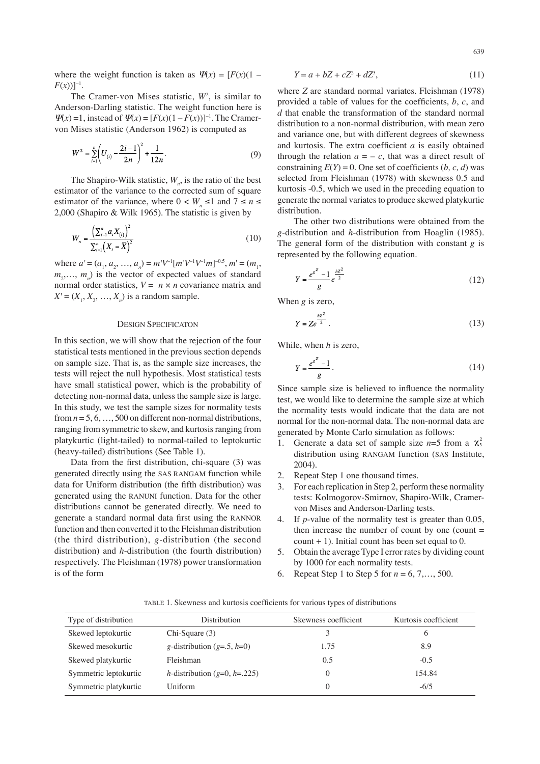where the weight function is taken as  $\Psi(x) = [F(x)(1 F(x)$ ]<sup>-1</sup>.

The Cramer-von Mises statistic,  $W^2$ , is similar to Anderson-Darling statistic. The weight function here is  $\Psi(x) = 1$ , instead of  $\Psi(x) = [F(x)(1 - F(x))]^{-1}$ . The Cramervon Mises statistic (Anderson 1962) is computed as

$$
W^{2} = \sum_{i=1}^{n} \left( U_{(i)} - \frac{2i - 1}{2n} \right)^{2} + \frac{1}{12n}.
$$
 (9)

The Shapiro-Wilk statistic,  $W_n$ , is the ratio of the best estimator of the variance to the corrected sum of square estimator of the variance, where  $0 < W_n \leq 1$  and  $7 \leq n \leq 1$ 2,000 (Shapiro & Wilk 1965). The statistic is given by

 $\mathcal{L}$ 

$$
W_n = \frac{\left(\sum_{i=1}^n a_i X_{(i)}\right)^2}{\sum_{i=1}^n \left(X_i - \overline{X}\right)^2}
$$
\n(10)

where  $a' = (a_1, a_2, ..., a_n) = m'V^{-1}[m'V^{-1}V^{-1}m]^{-0.5}, m' = (m_1,$  $m_2, \ldots, m_n$ ) is the vector of expected values of standard normal order statistics,  $V = n \times n$  covariance matrix and  $X' = (X_1, X_2, ..., X_n)$  is a random sample.

# DESIGN SPECIFICATON

In this section, we will show that the rejection of the four statistical tests mentioned in the previous section depends on sample size. That is, as the sample size increases, the tests will reject the null hypothesis. Most statistical tests have small statistical power, which is the probability of detecting non-normal data, unless the sample size is large. In this study, we test the sample sizes for normality tests from  $n = 5, 6, \ldots, 500$  on different non-normal distributions, ranging from symmetric to skew, and kurtosis ranging from platykurtic (light-tailed) to normal-tailed to leptokurtic (heavy-tailed) distributions (See Table 1).

Data from the first distribution, chi-square (3) was generated directly using the SAS RANGAM function while data for Uniform distribution (the fifth distribution) was generated using the RANUNI function. Data for the other distributions cannot be generated directly. We need to generate a standard normal data first using the RANNOR function and then converted it to the Fleishman distribution (the third distribution), *g*-distribution (the second distribution) and *h*-distribution (the fourth distribution) respectively. The Fleishman (1978) power transformation is of the form

$$
Y = a + bZ + cZ^2 + dZ^3,\tag{11}
$$

where *Z* are standard normal variates. Fleishman (1978) provided a table of values for the coefficients, *b*, *c*, and *d* that enable the transformation of the standard normal distribution to a non-normal distribution, with mean zero and variance one, but with different degrees of skewness and kurtosis. The extra coefficient *a* is easily obtained through the relation  $a = -c$ , that was a direct result of constraining  $E(Y) = 0$ . One set of coefficients (*b*, *c*, *d*) was selected from Fleishman (1978) with skewness 0.5 and kurtosis -0.5, which we used in the preceding equation to generate the normal variates to produce skewed platykurtic distribution.

The other two distributions were obtained from the *g*-distribution and *h*-distribution from Hoaglin (1985). The general form of the distribution with constant *g* is represented by the following equation.

$$
Y = \frac{e^{s^Z} - 1}{g} e^{\frac{hZ^2}{2}}
$$
 (12)

When *g* is zero,

$$
Y = Ze^{\frac{hZ^2}{2}}.
$$

While, when *h* is zero,

$$
Y = \frac{e^{s^2} - 1}{g} \,. \tag{14}
$$

Since sample size is believed to influence the normality test, we would like to determine the sample size at which the normality tests would indicate that the data are not normal for the non-normal data. The non-normal data are generated by Monte Carlo simulation as follows:

- 1. Generate a data set of sample size  $n=5$  from a  $\chi^2$ distribution using RANGAM function (SAS Institute, 2004).
- 2. Repeat Step 1 one thousand times.
- 3. For each replication in Step 2, perform these normality tests: Kolmogorov-Smirnov, Shapiro-Wilk, Cramervon Mises and Anderson-Darling tests.
- 4. If *p*-value of the normality test is greater than 0.05, then increase the number of count by one (count  $=$ count  $+ 1$ ). Initial count has been set equal to 0.
- 5. Obtain the average Type I error rates by dividing count by 1000 for each normality tests.
- 6. Repeat Step 1 to Step 5 for *n* = 6, 7,…, 500.

TABLE 1. Skewness and kurtosis coefficients for various types of distributions

| Type of distribution  | Distribution                                | Skewness coefficient | Kurtosis coefficient |  |  |
|-----------------------|---------------------------------------------|----------------------|----------------------|--|--|
| Skewed leptokurtic    | $Chi-Square(3)$                             | 3                    | 6                    |  |  |
| Skewed mesokurtic     | g-distribution $(g=0.5, h=0)$               | 1.75                 | 8.9                  |  |  |
| Skewed platykurtic    | Fleishman                                   | 0.5                  | $-0.5$               |  |  |
| Symmetric leptokurtic | <i>h</i> -distribution ( $g=0$ , $h=.225$ ) |                      | 154.84               |  |  |
| Symmetric platykurtic | Uniform                                     |                      | $-6/5$               |  |  |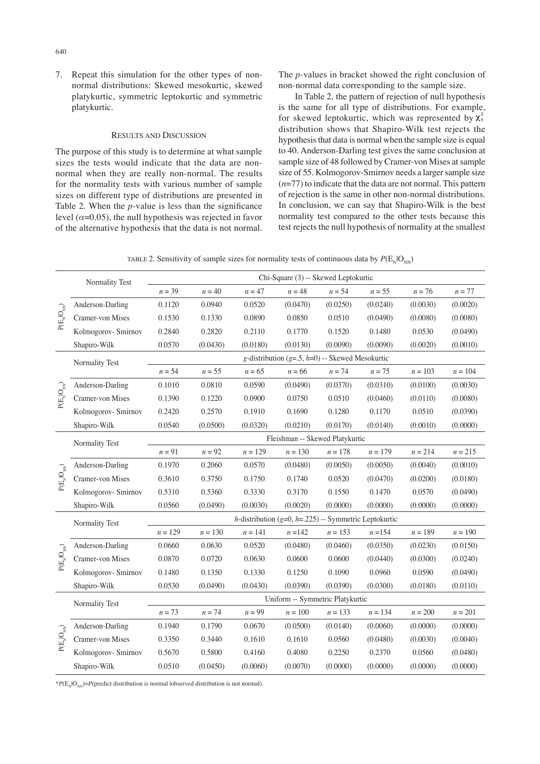7. Repeat this simulation for the other types of nonnormal distributions: Skewed mesokurtic, skewed platykurtic, symmetric leptokurtic and symmetric platykurtic.

# RESULTS AND DISCUSSION

The purpose of this study is to determine at what sample sizes the tests would indicate that the data are nonnormal when they are really non-normal. The results for the normality tests with various number of sample sizes on different type of distributions are presented in Table 2. When the *p-*value is less than the significance level  $(a=0.05)$ , the null hypothesis was rejected in favor of the alternative hypothesis that the data is not normal. The *p*-values in bracket showed the right conclusion of non-normal data corresponding to the sample size.

In Table 2, the pattern of rejection of null hypothesis is the same for all type of distributions. For example, for skewed leptokurtic, which was represented by  $\chi^2$ distribution shows that Shapiro-Wilk test rejects the hypothesis that data is normal when the sample size is equal to 40. Anderson-Darling test gives the same conclusion at sample size of 48 followed by Cramer-von Mises at sample size of 55. Kolmogorov-Smirnov needs a larger sample size (*n*=77) to indicate that the data are not normal. This pattern of rejection is the same in other non-normal distributions. In conclusion, we can say that Shapiro-Wilk is the best normality test compared to the other tests because this test rejects the null hypothesis of normality at the smallest

| Normality Test | Chi-Square (3) -- Skewed Leptokurtic |  |                                                                |  |  |  |  |  |
|----------------|--------------------------------------|--|----------------------------------------------------------------|--|--|--|--|--|
|                |                                      |  | $n = 39$ $n = 40$ $n = 47$ $n = 48$ $n = 54$ $n = 55$ $n = 76$ |  |  |  |  |  |

TABLE 2. Sensitivity of sample sizes for normality tests of continuous data by  $P(E_{N} | O_{NN})$ 

|                                                                                              |                                                                                                              | $n = 39$                                                 | $n = 40$ | $n = 47$  | $n = 48$  | $n = 54$  | $n = 55$  | $n = 76$  | $n = 77$  |
|----------------------------------------------------------------------------------------------|--------------------------------------------------------------------------------------------------------------|----------------------------------------------------------|----------|-----------|-----------|-----------|-----------|-----------|-----------|
| $\mathrm{P}(\mathrm{E_{_{N}}}\mathrm{I}\mathrm{O_{_{NN}}})$                                  | Anderson-Darling                                                                                             | 0.1120                                                   | 0.0940   | 0.0520    | (0.0470)  | (0.0250)  | (0.0240)  | (0.0030)  | (0.0020)  |
|                                                                                              | Cramer-von Mises                                                                                             | 0.1530                                                   | 0.1330   | 0.0890    | 0.0850    | 0.0510    | (0.0490)  | (0.0080)  | (0.0080)  |
|                                                                                              | Kolmogorov- Smirnov                                                                                          | 0.2840                                                   | 0.2820   | 0.2110    | 0.1770    | 0.1520    | 0.1480    | 0.0530    | (0.0490)  |
|                                                                                              | Shapiro-Wilk                                                                                                 | 0.0570                                                   | (0.0430) | (0.0180)  | (0.0130)  | (0.0090)  | (0.0090)  | (0.0020)  | (0.0010)  |
|                                                                                              | Normality Test                                                                                               | g-distribution ( $g=0$ , $h=0$ ) -- Skewed Mesokurtic    |          |           |           |           |           |           |           |
| $P(E_{\scriptscriptstyle N}{\scriptstyle }O_{{\scriptscriptstyle N}{\scriptscriptstyle N}})$ |                                                                                                              | $n = 54$                                                 | $n = 55$ | $n = 65$  | $n = 66$  | $n=74$    | $n = 75$  | $n = 103$ | $n = 104$ |
|                                                                                              | Anderson-Darling                                                                                             | 0.1010                                                   | 0.0810   | 0.0590    | (0.0490)  | (0.0370)  | (0.0310)  | (0.0100)  | (0.0030)  |
|                                                                                              | Cramer-von Mises                                                                                             | 0.1390                                                   | 0.1220   | 0.0900    | 0.0750    | 0.0510    | (0.0460)  | (0.0110)  | (0.0080)  |
|                                                                                              | Kolmogorov- Smirnov                                                                                          | 0.2420                                                   | 0.2570   | 0.1910    | 0.1690    | 0.1280    | 0.1170    | 0.0510    | (0.0390)  |
|                                                                                              | Shapiro-Wilk                                                                                                 | 0.0540                                                   | (0.0500) | (0.0320)  | (0.0210)  | (0.0170)  | (0.0140)  | (0.0010)  | (0.0000)  |
|                                                                                              | Normality Test                                                                                               | Fleishman -- Skewed Platykurtic                          |          |           |           |           |           |           |           |
| $P(E_N O_{\rm NN})$                                                                          |                                                                                                              | $n = 91$                                                 | $n = 92$ | $n = 129$ | $n = 130$ | $n = 178$ | $n = 179$ | $n = 214$ | $n = 215$ |
|                                                                                              | Anderson-Darling                                                                                             | 0.1970                                                   | 0.2060   | 0.0570    | (0.0480)  | (0.0050)  | (0.0050)  | (0.0040)  | (0.0010)  |
|                                                                                              | Cramer-von Mises                                                                                             | 0.3610                                                   | 0.3750   | 0.1750    | 0.1740    | 0.0520    | (0.0470)  | (0.0200)  | (0.0180)  |
|                                                                                              | Kolmogorov- Smirnov                                                                                          | 0.5310                                                   | 0.5360   | 0.3330    | 0.3170    | 0.1550    | 0.1470    | 0.0570    | (0.0490)  |
|                                                                                              | Shapiro-Wilk                                                                                                 | 0.0560                                                   | (0.0490) | (0.0030)  | (0.0020)  | (0.0000)  | (0.0000)  | (0.0000)  | (0.0000)  |
|                                                                                              | Normality Test                                                                                               | $h$ -distribution (g=0, h=.225) -- Symmetric Leptokurtic |          |           |           |           |           |           |           |
|                                                                                              |                                                                                                              | $n = 129$                                                | $n=130$  | $n = 141$ | $n = 142$ | $n = 153$ | $n = 154$ | $n = 189$ | $n = 190$ |
|                                                                                              | Anderson-Darling                                                                                             | 0.0660                                                   | 0.0630   | 0.0520    | (0.0480)  | (0.0460)  | (0.0350)  | (0.0230)  | (0.0150)  |
| $\mathrm{P(E_{N}^{-}IO_{NN})}$                                                               | Cramer-von Mises                                                                                             | 0.0870                                                   | 0.0720   | 0.0630    | 0.0600    | 0.0600    | (0.0440)  | (0.0300)  | (0.0240)  |
|                                                                                              | Kolmogorov- Smirnov                                                                                          | 0.1480                                                   | 0.1350   | 0.1330    | 0.1250    | 0.1090    | 0.0960    | 0.0590    | (0.0490)  |
|                                                                                              | Shapiro-Wilk                                                                                                 | 0.0530                                                   | (0.0490) | (0.0430)  | (0.0390)  | (0.0390)  | (0.0300)  | (0.0180)  | (0.0110)  |
|                                                                                              | Normality Test                                                                                               | Uniform -- Symmetric Platykurtic                         |          |           |           |           |           |           |           |
|                                                                                              |                                                                                                              | $n = 73$                                                 | $n = 74$ | $n = 99$  | $n = 100$ | $n = 133$ | $n = 134$ | $n = 200$ | $n = 201$ |
| $P(E_{\scriptscriptstyle N}{\scriptstyle }O_{\scriptscriptstyle NN})$                        | Anderson-Darling                                                                                             | 0.1940                                                   | 0.1790   | 0.0670    | (0.0500)  | (0.0140)  | (0.0060)  | (0.0000)  | (0.0000)  |
|                                                                                              | Cramer-von Mises                                                                                             | 0.3350                                                   | 0.3440   | 0.1610    | 0.1610    | 0.0560    | (0.0480)  | (0.0030)  | (0.0040)  |
|                                                                                              | Kolmogorov- Smirnov                                                                                          | 0.5670                                                   | 0.5800   | 0.4160    | 0.4080    | 0.2250    | 0.2370    | 0.0560    | (0.0480)  |
|                                                                                              | Shapiro-Wilk                                                                                                 | 0.0510                                                   | (0.0450) | (0.0060)  | (0.0070)  | (0.0000)  | (0.0000)  | (0.0000)  | (0.0000)  |
|                                                                                              | *P(E <sub>N</sub> IO <sub>NN</sub> )=P(predict distribution is normal lobserved distribution is not normal). |                                                          |          |           |           |           |           |           |           |